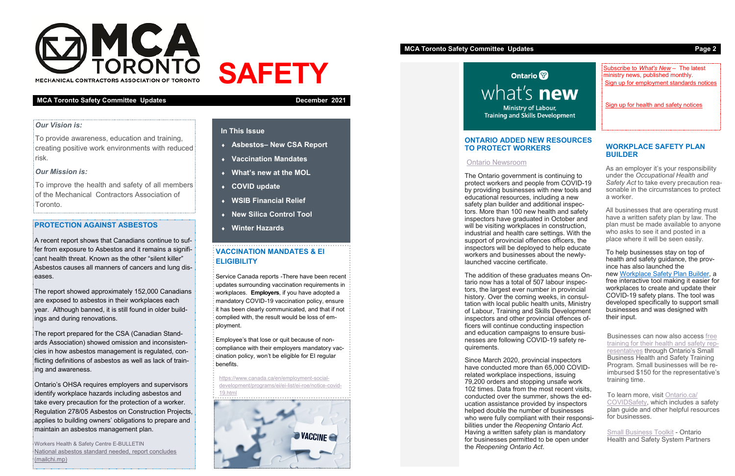

MECHANICAL CONTRACTORS ASSOCIATION OF TORONT

#### **MCA Toronto Safety Committee Updates December 2021**

# **SAFETY**

## **In This Issue**

- **Asbestos– New CSA Report**
- **Vaccination Mandates**
- **What's new at the MOL**
- **COVID update**
- **WSIB Financial Relief**
- **New Silica Control Tool**
- **Winter Hazards**

#### *Our Vision is:*

To provide awareness, education and training, creating positive work environments with reduced risk.

## *Our Mission is:*

To improve the health and safety of all members of the Mechanical Contractors Association of Toronto.

## **PROTECTION AGAINST ASBESTOS**

A recent report shows that Canadians continue to suffer from exposure to Asbestos and it remains a significant health threat. Known as the other "silent killer" Asbestos causes all manners of cancers and lung diseases.

The report showed approximately 152,000 Canadians are exposed to asbestos in their workplaces each year. Although banned, it is still found in older buildings and during renovations.

The report prepared for the CSA (Canadian Standards Association) showed omission and inconsistencies in how asbestos management is regulated, conflicting definitions of asbestos as well as lack of training and awareness.

Ontario's OHSA requires employers and supervisors identify workplace hazards including asbestos and take every precaution for the protection of a worker. Regulation 278/05 Asbestos on Construction Projects, applies to building owners' obligations to prepare and maintain an asbestos management plan.

Workers Health & Safety Centre E-BULLETIN [National asbestos standard needed, report concludes](https://mailchi.mp/whsc/national-asbestos-standard-needed-report-concludes?e=ad8ed369a5)  [\(mailchi.mp\)](https://mailchi.mp/whsc/national-asbestos-standard-needed-report-concludes?e=ad8ed369a5)

# **VACCINATION MANDATES & EI ELIGIBILITY**

Service Canada reports -There have been recent updates surrounding vaccination requirements in workplaces. **Employers**, if you have adopted a mandatory COVID-19 vaccination policy, ensure it has been clearly communicated, and that if not complied with, the result would be loss of employment.

Employee's that lose or quit because of noncompliance with their employers mandatory vaccination policy, won't be eligible for EI regular benefits.

[https://www.canada.ca/en/employment](https://www.canada.ca/en/employment-social-development/programs/ei/ei-list/ei-roe/notice-covid-19.html)-social[development/programs/ei/ei](https://www.canada.ca/en/employment-social-development/programs/ei/ei-list/ei-roe/notice-covid-19.html)-list/ei-roe/notice-covid-



## **MCA Toronto Safety Committee Updates <b>Page 2 Page 2**

**Ontario** what's **new Ministry of Labour, Training and Skills Development** 

## **ONTARIO ADDED NEW RESOURCES TO PROTECT WORKERS**

#### [Ontario Newsroom](https://news.ontario.ca/en/release/1000874/ontario-adding-new-resources-to-protect-workers)

[Small Business Toolkit](https://www.workplacesafetynorth.ca/sites/default/files/uploads/Small-Business-Toolkit-ON-2019.pdf) - Ontario Health and Safety System Partners

The Ontario government is continuing to protect workers and people from COVID-19 by providing businesses with new tools and educational resources, including a new safety plan builder and additional inspectors. More than 100 new health and safety inspectors have graduated in October and will be visiting workplaces in construction, industrial and health care settings. With the support of provincial offences officers, the inspectors will be deployed to help educate workers and businesses about the newlylaunched vaccine certificate.

[Sign up for employment standards notices](http://eepurl.com/dkYg1v) [Subscribe to](http://eepurl.com/cVnqzf) *What's New* – The latest ministry news, published monthly.

[Sign up for health and safety notices](http://eepurl.com/dkXfIb)

The addition of these graduates means Ontario now has a total of 507 labour inspectors, the largest ever number in provincial history. Over the coming weeks, in consultation with local public health units, Ministry of Labour, Training and Skills Development inspectors and other provincial offences officers will continue conducting inspection and education campaigns to ensure businesses are following COVID-19 safety requirements.

Since March 2020, provincial inspectors have conducted more than 65,000 COVIDrelated workplace inspections, issuing 79,200 orders and stopping unsafe work 102 times. Data from the most recent visits, conducted over the summer, shows the education assistance provided by inspectors helped double the number of businesses who were fully compliant with their responsibilities under the *Reopening Ontario Act*. Having a written safety plan is mandatory for businesses permitted to be open under the *Reopening Ontario Act*.



#### **WORKPLACE SAFETY PLAN BUILDER**

As an employer it's your responsibility under the *Occupational Health and Safety Act* to take every precaution reasonable in the circumstances to protect a worker.

All businesses that are operating must have a written safety plan by law. The plan must be made available to anyone who asks to see it and posted in a place where it will be seen easily.

To help businesses stay on top of health and safety guidance, the province has also launched the new [Workplace Safety Plan Builder,](https://www.workplacesafetyplanbuilder.labour.gov.on.ca/) a free interactive tool making it easier for workplaces to create and update their COVID-19 safety plans. The tool was developed specifically to support small businesses and was designed with their input.

Businesses can now also access [free](https://www.ontario.ca/page/health-and-safety-small-businesses#section-6)  [training for their health and safety rep](https://www.ontario.ca/page/health-and-safety-small-businesses#section-6)[resentatives](https://www.ontario.ca/page/health-and-safety-small-businesses#section-6) through Ontario's Small Business Health and Safety Training Program. Small businesses will be reimbursed \$150 for the representative's training time.

To learn more, visit [Ontario.ca/](https://www.ontario.ca/page/covid-19-workplace-health-safety) [COVIDSafety,](https://www.ontario.ca/page/covid-19-workplace-health-safety) which includes a safety plan guide and other helpful resources for businesses.